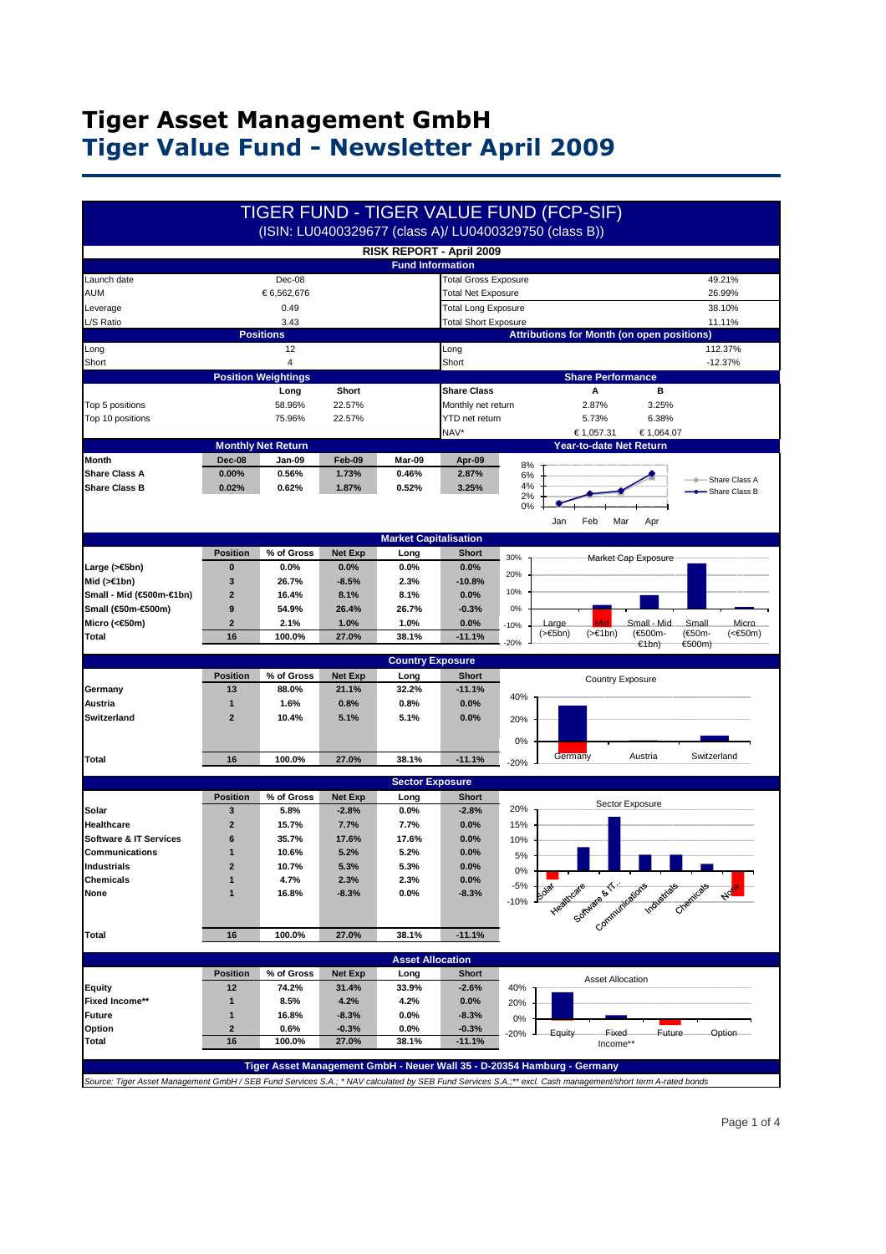## **Tiger Asset Management GmbH Tiger Value Fund - Newsletter April 2009**

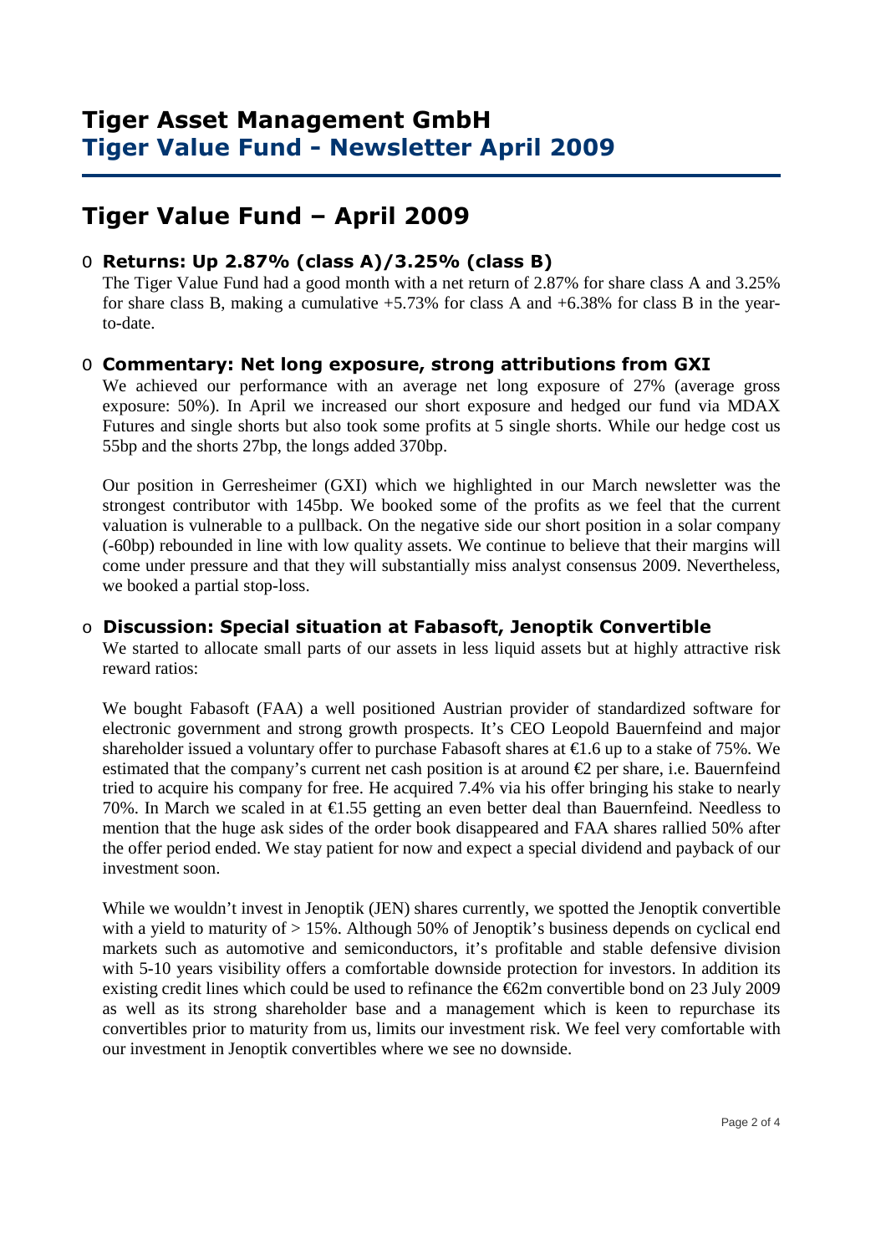### **Tiger Asset Management GmbH Tiger Value Fund - Newsletter April 2009**

# **Tiger Value Fund – April 2009**

### O **Returns: Up 2.87% (class A)/3.25% (class B)**

 The Tiger Value Fund had a good month with a net return of 2.87% for share class A and 3.25% for share class B, making a cumulative  $+5.73\%$  for class A and  $+6.38\%$  for class B in the yearto-date.

#### O **Commentary: Net long exposure, strong attributions from GXI**

We achieved our performance with an average net long exposure of 27% (average gross exposure: 50%). In April we increased our short exposure and hedged our fund via MDAX Futures and single shorts but also took some profits at 5 single shorts. While our hedge cost us 55bp and the shorts 27bp, the longs added 370bp.

Our position in Gerresheimer (GXI) which we highlighted in our March newsletter was the strongest contributor with 145bp. We booked some of the profits as we feel that the current valuation is vulnerable to a pullback. On the negative side our short position in a solar company (-60bp) rebounded in line with low quality assets. We continue to believe that their margins will come under pressure and that they will substantially miss analyst consensus 2009. Nevertheless, we booked a partial stop-loss.

#### o **Discussion: Special situation at Fabasoft, Jenoptik Convertible**

We started to allocate small parts of our assets in less liquid assets but at highly attractive risk reward ratios:

We bought Fabasoft (FAA) a well positioned Austrian provider of standardized software for electronic government and strong growth prospects. It's CEO Leopold Bauernfeind and major shareholder issued a voluntary offer to purchase Fabasoft shares at  $\epsilon$ 1.6 up to a stake of 75%. We estimated that the company's current net cash position is at around  $\epsilon$ 2 per share, i.e. Bauernfeind tried to acquire his company for free. He acquired 7.4% via his offer bringing his stake to nearly 70%. In March we scaled in at  $\epsilon$ 1.55 getting an even better deal than Bauernfeind. Needless to mention that the huge ask sides of the order book disappeared and FAA shares rallied 50% after the offer period ended. We stay patient for now and expect a special dividend and payback of our investment soon.

While we wouldn't invest in Jenoptik (JEN) shares currently, we spotted the Jenoptik convertible with a yield to maturity of  $> 15\%$ . Although 50% of Jenoptik's business depends on cyclical end markets such as automotive and semiconductors, it's profitable and stable defensive division with 5-10 years visibility offers a comfortable downside protection for investors. In addition its existing credit lines which could be used to refinance the  $\epsilon$ 62m convertible bond on 23 July 2009 as well as its strong shareholder base and a management which is keen to repurchase its convertibles prior to maturity from us, limits our investment risk. We feel very comfortable with our investment in Jenoptik convertibles where we see no downside.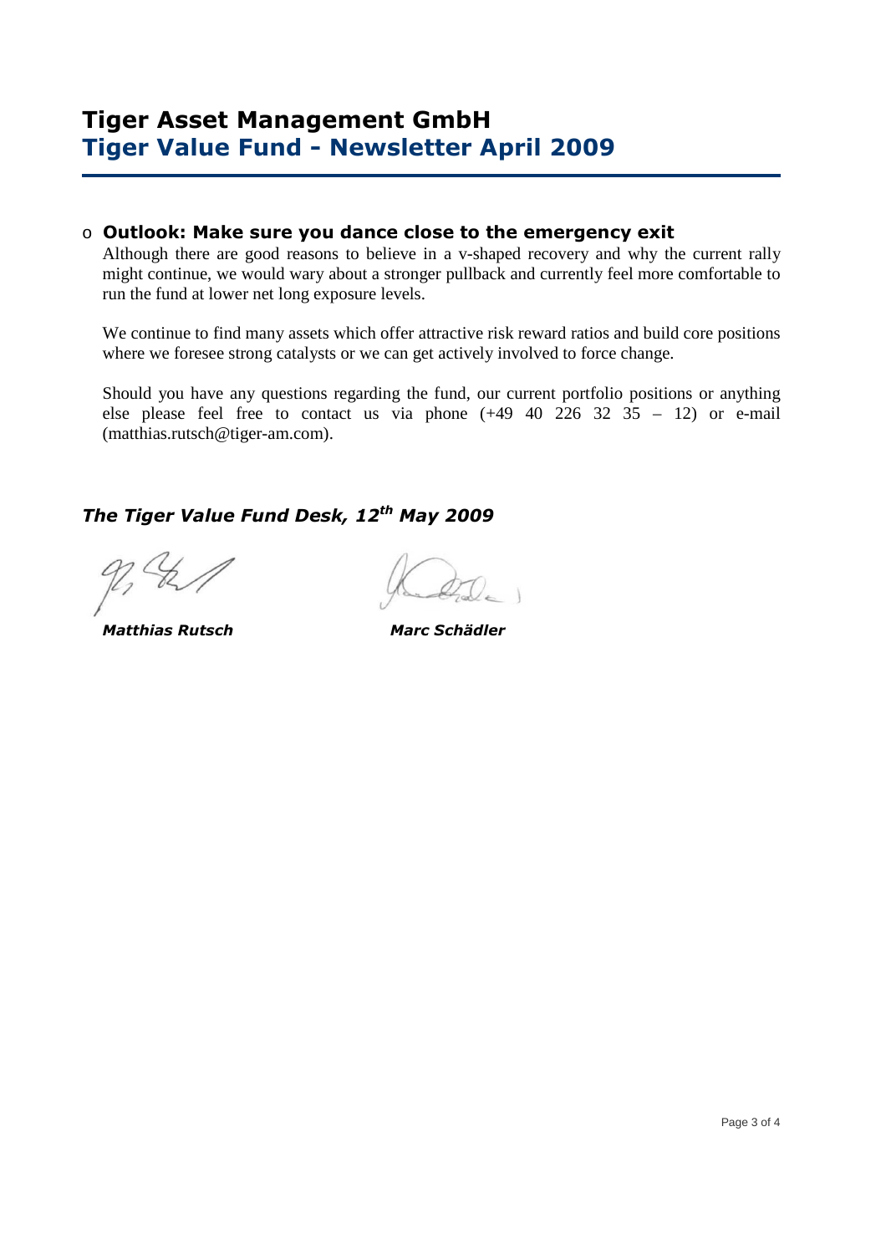#### o **Outlook: Make sure you dance close to the emergency exit**

Although there are good reasons to believe in a v-shaped recovery and why the current rally might continue, we would wary about a stronger pullback and currently feel more comfortable to run the fund at lower net long exposure levels.

We continue to find many assets which offer attractive risk reward ratios and build core positions where we foresee strong catalysts or we can get actively involved to force change.

Should you have any questions regarding the fund, our current portfolio positions or anything else please feel free to contact us via phone  $(+49 \ 40 \ 226 \ 32 \ 35 - 12)$  or e-mail (matthias.rutsch@tiger-am.com).

## *The Tiger Value Fund Desk, 12th May 2009*

 *Matthias Rutsch Marc Schädler*